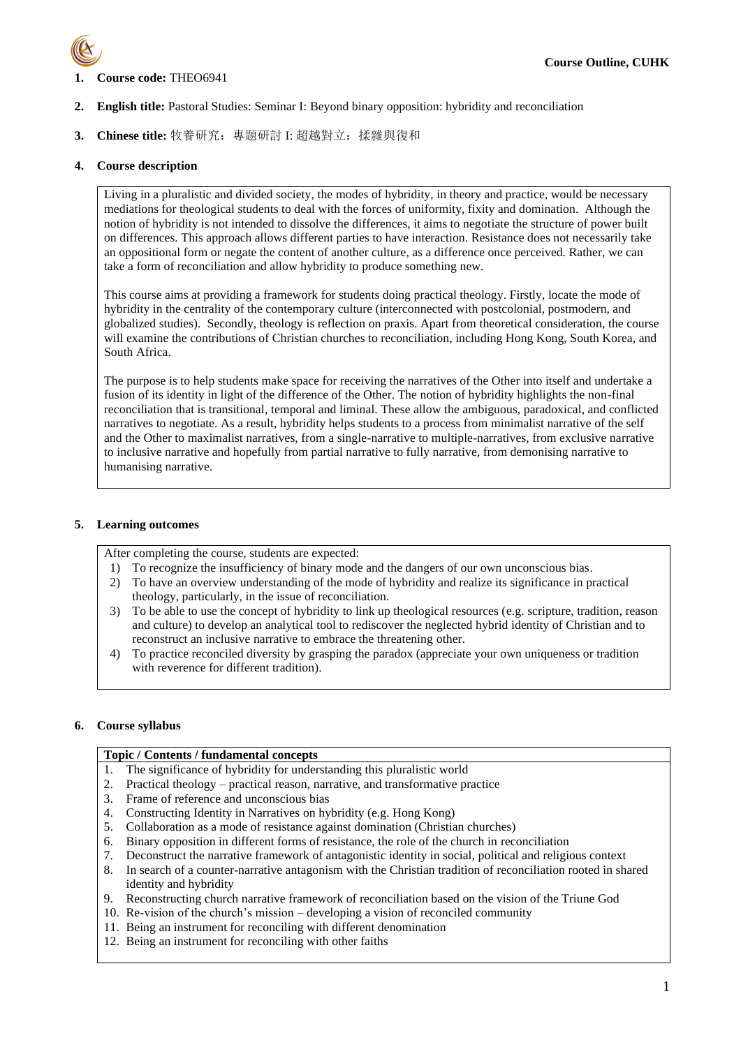

## **1. Course code:** THEO6941

- **2. English title:** Pastoral Studies: Seminar I: Beyond binary opposition: hybridity and reconciliation
- **3. Chinese title:** 牧養研究:專題研討 I: 超越對立:揉雜與復和

## **4. Course description**

Living in a pluralistic and divided society, the modes of hybridity, in theory and practice, would be necessary mediations for theological students to deal with the forces of uniformity, fixity and domination. Although the notion of hybridity is not intended to dissolve the differences, it aims to negotiate the structure of power built on differences. This approach allows different parties to have interaction. Resistance does not necessarily take an oppositional form or negate the content of another culture, as a difference once perceived. Rather, we can take a form of reconciliation and allow hybridity to produce something new.

This course aims at providing a framework for students doing practical theology. Firstly, locate the mode of hybridity in the centrality of the contemporary culture (interconnected with postcolonial, postmodern, and globalized studies). Secondly, theology is reflection on praxis. Apart from theoretical consideration, the course will examine the contributions of Christian churches to reconciliation, including Hong Kong, South Korea, and South Africa.

The purpose is to help students make space for receiving the narratives of the Other into itself and undertake a fusion of its identity in light of the difference of the Other. The notion of hybridity highlights the non-final reconciliation that is transitional, temporal and liminal. These allow the ambiguous, paradoxical, and conflicted narratives to negotiate. As a result, hybridity helps students to a process from minimalist narrative of the self and the Other to maximalist narratives, from a single-narrative to multiple-narratives, from exclusive narrative to inclusive narrative and hopefully from partial narrative to fully narrative, from demonising narrative to humanising narrative.

## **5. Learning outcomes**

After completing the course, students are expected:

- 1) To recognize the insufficiency of binary mode and the dangers of our own unconscious bias.
- 2) To have an overview understanding of the mode of hybridity and realize its significance in practical theology, particularly, in the issue of reconciliation.
- 3) To be able to use the concept of hybridity to link up theological resources (e.g. scripture, tradition, reason and culture) to develop an analytical tool to rediscover the neglected hybrid identity of Christian and to reconstruct an inclusive narrative to embrace the threatening other.
- 4) To practice reconciled diversity by grasping the paradox (appreciate your own uniqueness or tradition with reverence for different tradition).

## **6. Course syllabus**

## **Topic / Contents / fundamental concepts**

- 1. The significance of hybridity for understanding this pluralistic world
- 2. Practical theology practical reason, narrative, and transformative practice
- 3. Frame of reference and unconscious bias
- 4. Constructing Identity in Narratives on hybridity (e.g. Hong Kong)
- 5. Collaboration as a mode of resistance against domination (Christian churches)
- 6. Binary opposition in different forms of resistance, the role of the church in reconciliation
- 7. Deconstruct the narrative framework of antagonistic identity in social, political and religious context
- 8. In search of a counter-narrative antagonism with the Christian tradition of reconciliation rooted in shared identity and hybridity
- 9. Reconstructing church narrative framework of reconciliation based on the vision of the Triune God
- 10. Re-vision of the church's mission developing a vision of reconciled community
- 11. Being an instrument for reconciling with different denomination
- 12. Being an instrument for reconciling with other faiths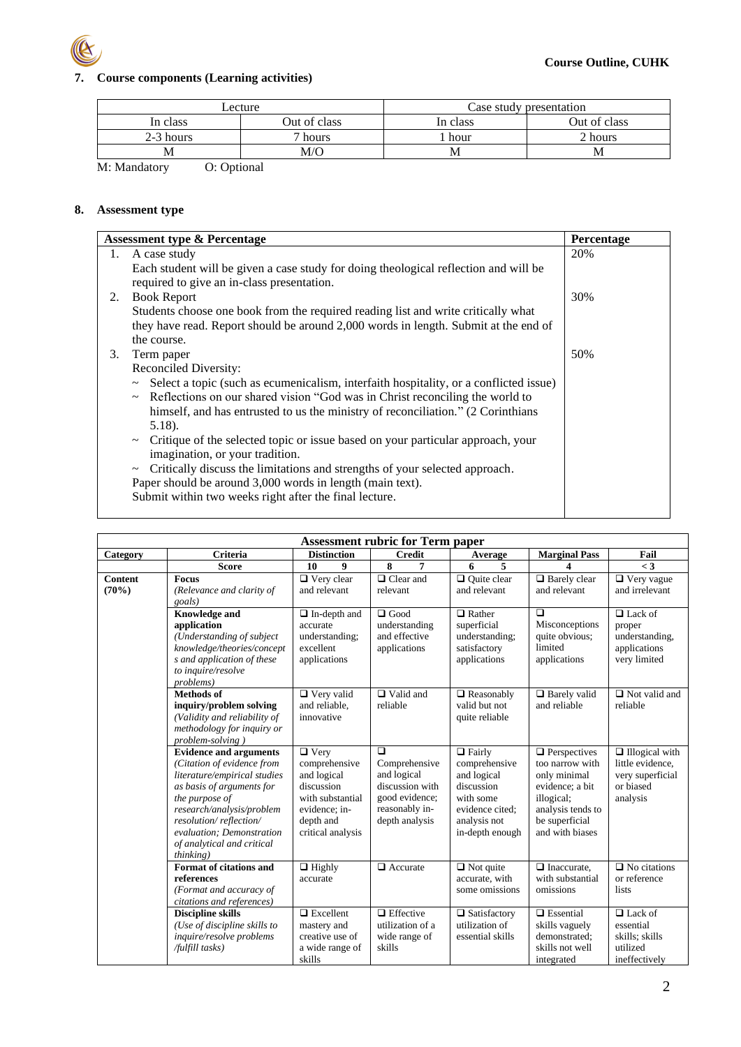

# **7. Course components (Learning activities)**

| Lecture   |              | Case study presentation |              |  |
|-----------|--------------|-------------------------|--------------|--|
| In class  | Out of class | In class                | Out of class |  |
| 2-3 hours | hours        | hour                    | 2 hours      |  |
| М         | M/O          | M                       | ΙVΙ          |  |

M: Mandatory O: Optional

## **8. Assessment type**

|    | <b>Assessment type &amp; Percentage</b>                                                                                            | Percentage |
|----|------------------------------------------------------------------------------------------------------------------------------------|------------|
| 1. | A case study                                                                                                                       | 20%        |
|    | Each student will be given a case study for doing theological reflection and will be<br>required to give an in-class presentation. |            |
| 2. | <b>Book Report</b>                                                                                                                 | 30%        |
|    | Students choose one book from the required reading list and write critically what                                                  |            |
|    | they have read. Report should be around 2,000 words in length. Submit at the end of                                                |            |
|    | the course.                                                                                                                        |            |
| 3. | Term paper                                                                                                                         | 50%        |
|    | Reconciled Diversity:                                                                                                              |            |
|    | ~ Select a topic (such as ecumenicalism, interfaith hospitality, or a conflicted issue)                                            |            |
|    | Reflections on our shared vision "God was in Christ reconciling the world to<br>$\thicksim$                                        |            |
|    | himself, and has entrusted to us the ministry of reconciliation." (2 Corinthians                                                   |            |
|    | $5.18$ ).                                                                                                                          |            |
|    | Critique of the selected topic or issue based on your particular approach, your<br>$\thicksim$<br>imagination, or your tradition.  |            |
|    | Critically discuss the limitations and strengths of your selected approach.<br>$\thicksim$                                         |            |
|    | Paper should be around 3,000 words in length (main text).                                                                          |            |
|    | Submit within two weeks right after the final lecture.                                                                             |            |
|    |                                                                                                                                    |            |

|                         |                                                                                                                                                                                                                                                                           |                                                                                                                                  | <b>Assessment rubric for Term paper</b>                                                                         |                                                                                                                                |                                                                                                                                                   |                                                                                        |
|-------------------------|---------------------------------------------------------------------------------------------------------------------------------------------------------------------------------------------------------------------------------------------------------------------------|----------------------------------------------------------------------------------------------------------------------------------|-----------------------------------------------------------------------------------------------------------------|--------------------------------------------------------------------------------------------------------------------------------|---------------------------------------------------------------------------------------------------------------------------------------------------|----------------------------------------------------------------------------------------|
| Category                | <b>Criteria</b>                                                                                                                                                                                                                                                           | <b>Distinction</b>                                                                                                               | <b>Credit</b>                                                                                                   | Average                                                                                                                        | <b>Marginal Pass</b>                                                                                                                              | Fail                                                                                   |
|                         | <b>Score</b>                                                                                                                                                                                                                                                              | 10<br>9                                                                                                                          | 8<br>7                                                                                                          | 6<br>5                                                                                                                         | 4                                                                                                                                                 | $\lt3$                                                                                 |
| <b>Content</b><br>(70%) | <b>Focus</b><br>(Relevance and clarity of<br>goals)                                                                                                                                                                                                                       | $\Box$ Very clear<br>and relevant                                                                                                | $\Box$ Clear and<br>relevant                                                                                    | $\Box$ Ouite clear<br>and relevant                                                                                             | $\Box$ Barely clear<br>and relevant                                                                                                               | $\Box$ Very vague<br>and irrelevant                                                    |
|                         | <b>Knowledge and</b><br>application<br>(Understanding of subject<br>knowledge/theories/concept<br>s and application of these<br>to inquire/resolve<br>problems)                                                                                                           | $\Box$ In-depth and<br>accurate<br>understanding;<br>excellent<br>applications                                                   | $\Box$ Good<br>understanding<br>and effective<br>applications                                                   | $\Box$ Rather<br>superficial<br>understanding;<br>satisfactory<br>applications                                                 | $\Box$<br>Misconceptions<br>quite obvious;<br>limited<br>applications                                                                             | $\Box$ Lack of<br>proper<br>understanding,<br>applications<br>very limited             |
|                         | <b>Methods</b> of<br>inquiry/problem solving<br>(Validity and reliability of<br>methodology for inquiry or<br>problem-solving)                                                                                                                                            | $\Box$ Very valid<br>and reliable.<br>innovative                                                                                 | $\Box$ Valid and<br>reliable                                                                                    | $\Box$ Reasonably<br>valid but not<br>quite reliable                                                                           | $\Box$ Barely valid<br>and reliable                                                                                                               | $\Box$ Not valid and<br>reliable                                                       |
|                         | <b>Evidence and arguments</b><br>(Citation of evidence from<br>literature/empirical studies<br>as basis of arguments for<br>the purpose of<br>research/analysis/problem<br>resolution/reflection/<br>evaluation; Demonstration<br>of analytical and critical<br>thinking) | $\Box$ Very<br>comprehensive<br>and logical<br>discussion<br>with substantial<br>evidence; in-<br>depth and<br>critical analysis | $\Box$<br>Comprehensive<br>and logical<br>discussion with<br>good evidence;<br>reasonably in-<br>depth analysis | $\Box$ Fairly<br>comprehensive<br>and logical<br>discussion<br>with some<br>evidence cited:<br>analysis not<br>in-depth enough | $\Box$ Perspectives<br>too narrow with<br>only minimal<br>evidence; a bit<br>illogical;<br>analysis tends to<br>be superficial<br>and with biases | $\Box$ Illogical with<br>little evidence.<br>very superficial<br>or biased<br>analysis |
|                         | Format of citations and<br>references<br>(Format and accuracy of<br>citations and references)                                                                                                                                                                             | $\Box$ Highly<br>accurate                                                                                                        | $\Box$ Accurate                                                                                                 | $\Box$ Not quite<br>accurate, with<br>some omissions                                                                           | $\Box$ Inaccurate.<br>with substantial<br>omissions                                                                                               | $\Box$ No citations<br>or reference<br>lists                                           |
|                         | <b>Discipline skills</b><br>(Use of discipline skills to<br>inquire/resolve problems<br>/fulfill tasks)                                                                                                                                                                   | $\Box$ Excellent<br>mastery and<br>creative use of<br>a wide range of<br>skills                                                  | $\Box$ Effective<br>utilization of a<br>wide range of<br>skills                                                 | $\Box$ Satisfactory<br>utilization of<br>essential skills                                                                      | $\Box$ Essential<br>skills vaguely<br>demonstrated:<br>skills not well<br>integrated                                                              | $\Box$ Lack of<br>essential<br>skills; skills<br>utilized<br>ineffectively             |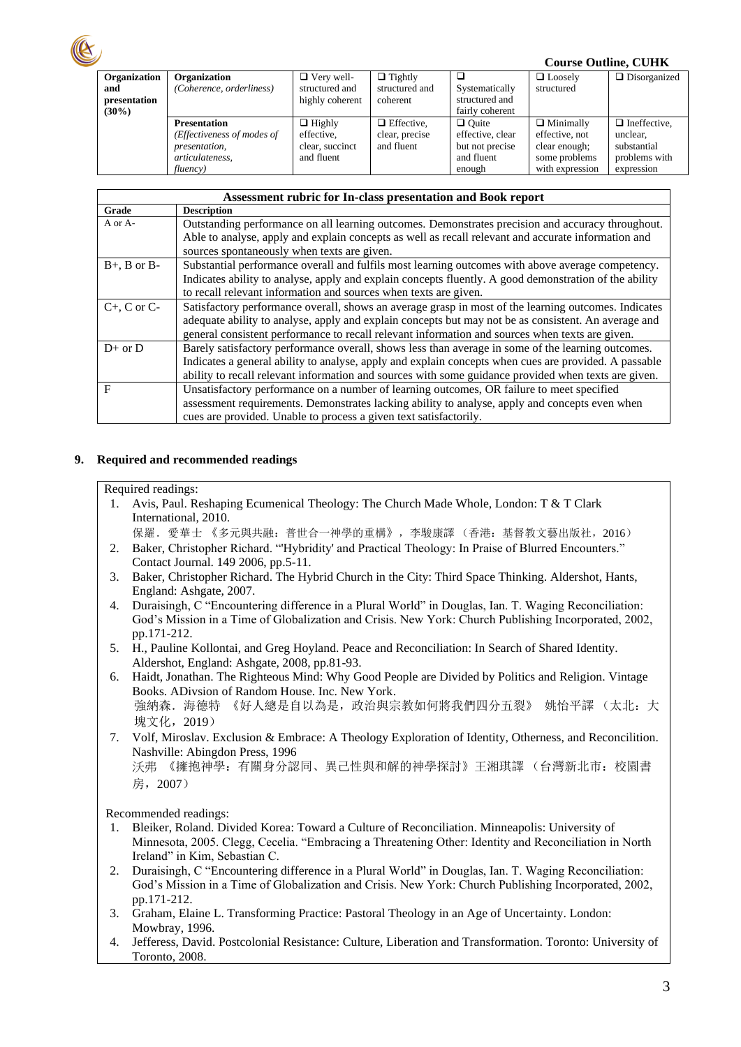|              |                            |                   |                   | <b>Course Outline, CUHK</b> |                  |                     |
|--------------|----------------------------|-------------------|-------------------|-----------------------------|------------------|---------------------|
| Organization | Organization               | $\Box$ Very well- | $\Box$ Tightly    |                             | $\Box$ Loosely   | $\Box$ Disorganized |
| and          | (Coherence, orderliness)   | structured and    | structured and    | Systematically              | structured       |                     |
| presentation |                            | highly coherent   | coherent          | structured and              |                  |                     |
| $(30\%)$     |                            |                   |                   | fairly coherent             |                  |                     |
|              | <b>Presentation</b>        | $\Box$ Highly     | $\Box$ Effective, | $\Box$ Ouite                | $\Box$ Minimally | $\Box$ Ineffective. |
|              | (Effectiveness of modes of | effective.        | clear, precise    | effective, clear            | effective, not   | unclear.            |
|              | presentation,              | clear, succinct   | and fluent        | but not precise             | clear enough;    | substantial         |
|              | articulateness,            | and fluent        |                   | and fluent                  | some problems    | problems with       |
|              | fluency)                   |                   |                   | enough                      | with expression  | expression          |

| Assessment rubric for In-class presentation and Book report |                                                                                                        |  |  |  |
|-------------------------------------------------------------|--------------------------------------------------------------------------------------------------------|--|--|--|
| Grade                                                       | <b>Description</b>                                                                                     |  |  |  |
| A or A-                                                     | Outstanding performance on all learning outcomes. Demonstrates precision and accuracy throughout.      |  |  |  |
|                                                             | Able to analyse, apply and explain concepts as well as recall relevant and accurate information and    |  |  |  |
|                                                             | sources spontaneously when texts are given.                                                            |  |  |  |
| $B+$ , B or B-                                              | Substantial performance overall and fulfils most learning outcomes with above average competency.      |  |  |  |
|                                                             | Indicates ability to analyse, apply and explain concepts fluently. A good demonstration of the ability |  |  |  |
|                                                             | to recall relevant information and sources when texts are given.                                       |  |  |  |
| $C+$ , C or C-                                              | Satisfactory performance overall, shows an average grasp in most of the learning outcomes. Indicates   |  |  |  |
|                                                             | adequate ability to analyse, apply and explain concepts but may not be as consistent. An average and   |  |  |  |
|                                                             | general consistent performance to recall relevant information and sources when texts are given.        |  |  |  |
| $D+$ or $D$                                                 | Barely satisfactory performance overall, shows less than average in some of the learning outcomes.     |  |  |  |
|                                                             | Indicates a general ability to analyse, apply and explain concepts when cues are provided. A passable  |  |  |  |
|                                                             | ability to recall relevant information and sources with some guidance provided when texts are given.   |  |  |  |
| F                                                           | Unsatisfactory performance on a number of learning outcomes, OR failure to meet specified              |  |  |  |
|                                                             | assessment requirements. Demonstrates lacking ability to analyse, apply and concepts even when         |  |  |  |
|                                                             | cues are provided. Unable to process a given text satisfactorily.                                      |  |  |  |

## **9. Required and recommended readings**

## Required readings:

- 1. Avis, Paul. Reshaping Ecumenical Theology: The Church Made Whole, London: T & T Clark International, 2010.
	- [保羅.愛華士](https://www.logos.com.hk/bf/acms/content.asp?site=logosbf&op=search&type=product&match=exact&field=author&text=%E4%BF%9D%E7%BE%85%EF%BC%8E%E6%84%9B%E8%8F%AF%E5%A3%AB) 《多元與共融:普世合一神學的重構》,李駿康譯 (香港:基督教文藝出版社,2016)
- 2. Baker, Christopher Richard. "'Hybridity' and Practical Theology: In Praise of Blurred Encounters." Contact Journal. 149 2006, pp.5-11.
- 3. Baker, Christopher Richard. The Hybrid Church in the City: Third Space Thinking. Aldershot, Hants, England: Ashgate, 2007.
- 4. Duraisingh, C "Encountering difference in a Plural World" in Douglas, Ian. T. Waging Reconciliation: God's Mission in a Time of Globalization and Crisis. New York: Church Publishing Incorporated, 2002, pp.171-212.
- 5. H., Pauline Kollontai, and Greg Hoyland. Peace and Reconciliation: In Search of Shared Identity. Aldershot, England: Ashgate, 2008, pp.81-93.

6. Haidt, Jonathan. The Righteous Mind: Why Good People are Divided by Politics and Religion. Vintage Books. ADivsion of Random House. Inc. New York. 強納森. 海德特 《好人總是自以為是,政治與宗教如何將我們四分五裂》 姚怡平譯 (太北:大 塊文化,2019)

7. Volf, Miroslav. Exclusion & Embrace: A Theology Exploration of Identity, Otherness, and Reconcilition. Nashville: Abingdon Press, 1996 沃弗 《擁抱神學: 有關身分認同、異己性與和解的神學探討》王湘琪譯 (台灣新北市: 校園書 房,2007)

Recommended readings:

- 1. Bleiker, Roland. Divided Korea: Toward a Culture of Reconciliation. Minneapolis: University of Minnesota, 2005. Clegg, Cecelia. "Embracing a Threatening Other: Identity and Reconciliation in North Ireland" in Kim, Sebastian C.
- 2. Duraisingh, C "Encountering difference in a Plural World" in Douglas, Ian. T. Waging Reconciliation: God's Mission in a Time of Globalization and Crisis. New York: Church Publishing Incorporated, 2002, pp.171-212.
- 3. Graham, Elaine L. Transforming Practice: Pastoral Theology in an Age of Uncertainty. London: Mowbray, 1996.
- 4. Jefferess, David. Postcolonial Resistance: Culture, Liberation and Transformation. Toronto: University of Toronto, 2008.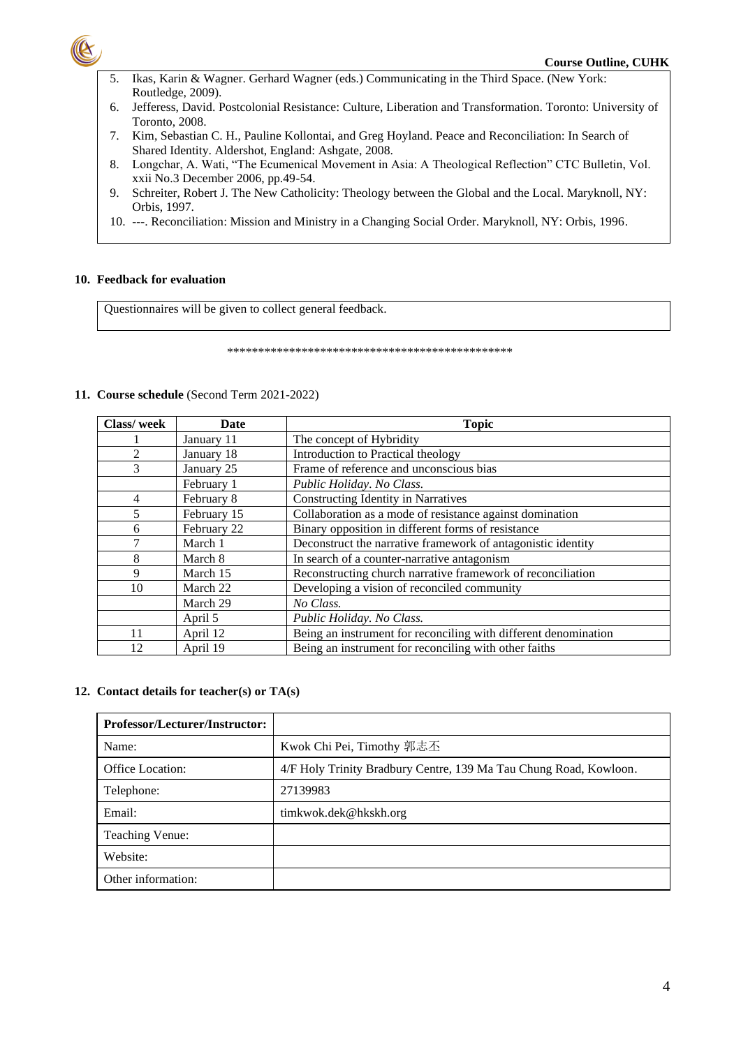

#### **Course Outline, CUHK**

- Ikas, Karin & Wagner. Gerhard Wagner (eds.) Communicating in the Third Space. (New York: 5. Routledge, 2009).
- 6. Jefferess, David. Postcolonial Resistance: Culture, Liberation and Transformation. Toronto: University of Toronto, 2008.
- 7. Kim, Sebastian C. H., Pauline Kollontai, and Greg Hoyland. Peace and Reconciliation: In Search of Shared Identity. Aldershot, England: Ashgate, 2008.
- Longchar, A. Wati, "The Ecumenical Movement in Asia: A Theological Reflection" CTC Bulletin, Vol. 8. xxii No.3 December 2006, pp.49-54.
- Schreiter, Robert J. The New Catholicity: Theology between the Global and the Local. Maryknoll, NY: 9. Orbis, 1997.
- 10. ---. Reconciliation: Mission and Ministry in a Changing Social Order. Maryknoll, NY: Orbis, 1996.

## 10. Feedback for evaluation

Questionnaires will be given to collect general feedback.

## 11. Course schedule (Second Term 2021-2022)

| Class/week | Date        | <b>Topic</b>                                                    |
|------------|-------------|-----------------------------------------------------------------|
|            | January 11  | The concept of Hybridity                                        |
| 2          | January 18  | Introduction to Practical theology                              |
| 3          | January 25  | Frame of reference and unconscious bias                         |
|            | February 1  | Public Holiday. No Class.                                       |
| 4          | February 8  | <b>Constructing Identity in Narratives</b>                      |
|            | February 15 | Collaboration as a mode of resistance against domination        |
| 6          | February 22 | Binary opposition in different forms of resistance              |
|            | March 1     | Deconstruct the narrative framework of antagonistic identity    |
| 8          | March 8     | In search of a counter-narrative antagonism                     |
| 9          | March 15    | Reconstructing church narrative framework of reconciliation     |
| 10         | March 22    | Developing a vision of reconciled community                     |
|            | March 29    | No Class.                                                       |
|            | April 5     | Public Holiday. No Class.                                       |
| 11         | April 12    | Being an instrument for reconciling with different denomination |
| 12         | April 19    | Being an instrument for reconciling with other faiths           |

## 12. Contact details for teacher(s) or TA(s)

| <b>Professor/Lecturer/Instructor:</b> |                                                                   |
|---------------------------------------|-------------------------------------------------------------------|
| Name:                                 | Kwok Chi Pei, Timothy 郭志丕                                         |
| <b>Office Location:</b>               | 4/F Holy Trinity Bradbury Centre, 139 Ma Tau Chung Road, Kowloon. |
| Telephone:                            | 27139983                                                          |
| Email:                                | timkwok.dek@hkskh.org                                             |
| <b>Teaching Venue:</b>                |                                                                   |
| Website:                              |                                                                   |
| Other information:                    |                                                                   |